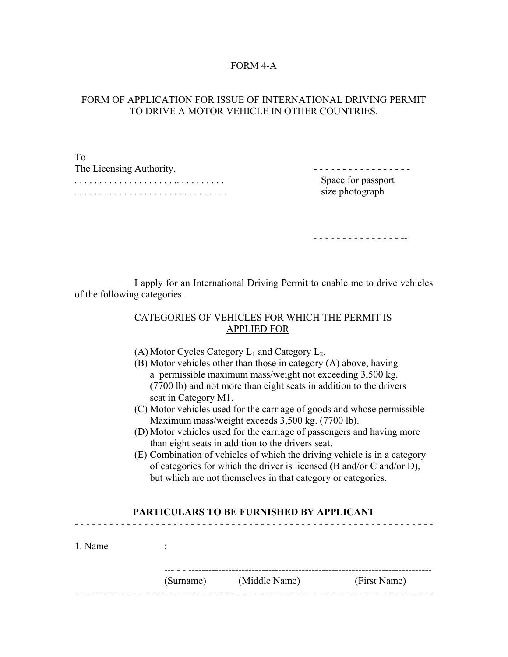## FORM 4-A

## FORM OF APPLICATION FOR ISSUE OF INTERNATIONAL DRIVING PERMIT TO DRIVE A MOTOR VEHICLE IN OTHER COUNTRIES.

| To                       |                    |
|--------------------------|--------------------|
| The Licensing Authority, |                    |
|                          | Space for passport |
|                          | size photograph    |

- - - - - - - - - - - - - - - --

 I apply for an International Driving Permit to enable me to drive vehicles of the following categories.

## CATEGORIES OF VEHICLES FOR WHICH THE PERMIT IS APPLIED FOR

- (A) Motor Cycles Category  $L_1$  and Category  $L_2$ .
- (B) Motor vehicles other than those in category (A) above, having a permissible maximum mass/weight not exceeding 3,500 kg. (7700 lb) and not more than eight seats in addition to the drivers seat in Category M1.
- (C) Motor vehicles used for the carriage of goods and whose permissible Maximum mass/weight exceeds 3,500 kg. (7700 lb).
- (D) Motor vehicles used for the carriage of passengers and having more than eight seats in addition to the drivers seat.
- (E) Combination of vehicles of which the driving vehicle is in a category of categories for which the driver is licensed (B and/or C and/or D), but which are not themselves in that category or categories.

## **PARTICULARS TO BE FURNISHED BY APPLICANT**  - - - - - - - - - - - - - - - - - - - - - - - - - - - - - - - - - - - - - - - - - - - - - - - - - - - - - - - - - - - - - -

| 1. Name | $\bullet$ |               |              |
|---------|-----------|---------------|--------------|
|         | (Surname) | (Middle Name) | (First Name) |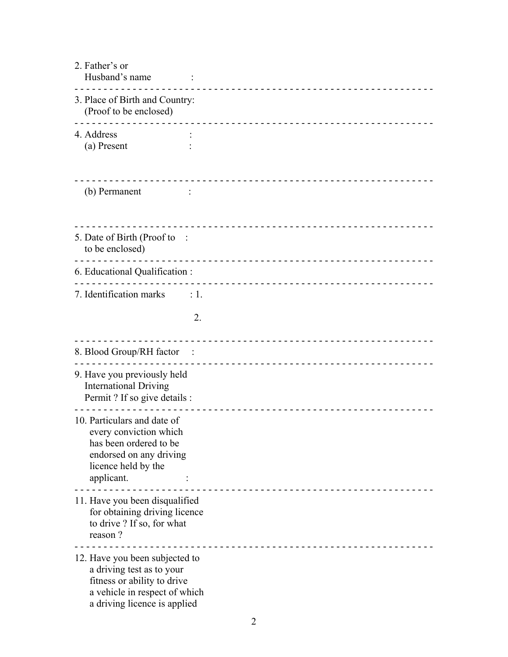| 2. Father's or<br>Husband's name                                                                                                                            |    |
|-------------------------------------------------------------------------------------------------------------------------------------------------------------|----|
| 3. Place of Birth and Country:<br>(Proof to be enclosed)                                                                                                    |    |
| 4. Address<br>(a) Present                                                                                                                                   |    |
| (b) Permanent                                                                                                                                               |    |
| 5. Date of Birth (Proof to<br>to be enclosed)                                                                                                               |    |
| 6. Educational Qualification :                                                                                                                              |    |
| 7. Identification marks<br>$\therefore$ 1.                                                                                                                  |    |
|                                                                                                                                                             | 2. |
| 8. Blood Group/RH factor                                                                                                                                    |    |
| 9. Have you previously held<br><b>International Driving</b><br>Permit ? If so give details :                                                                |    |
| 10. Particulars and date of<br>every conviction which<br>has been ordered to be<br>endorsed on any driving<br>licence held by the<br>applicant.             |    |
| 11. Have you been disqualified<br>for obtaining driving licence<br>to drive ? If so, for what<br>reason?                                                    |    |
| 12. Have you been subjected to<br>a driving test as to your<br>fitness or ability to drive<br>a vehicle in respect of which<br>a driving licence is applied |    |